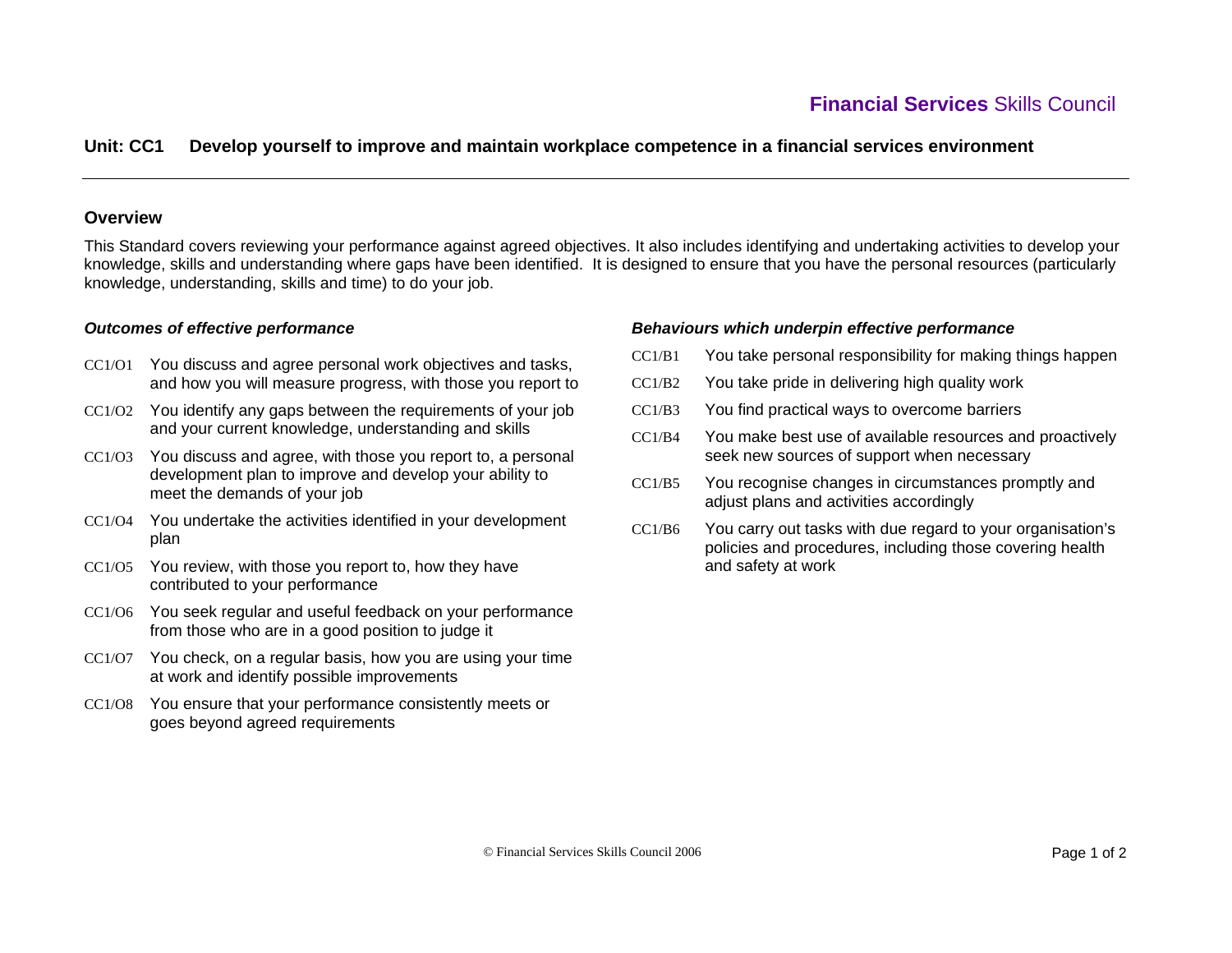# **Unit: CC1 Develop yourself to improve and maintain workplace competence in a financial services environment**

## **Overview**

This Standard covers reviewing your performance against agreed objectives. It also includes identifying and undertaking activities to develop your knowledge, skills and understanding where gaps have been identified. It is designed to ensure that you have the personal resources (particularly knowledge, understanding, skills and time) to do your job.

### *Outcomes of effective performance*

- CC1/O1 You discuss and agree personal work objectives and tasks, and how you will measure progress, with those you report to
- CC1/O2 You identify any gaps between the requirements of your job and your current knowledge, understanding and skills
- CC1/O3 You discuss and agree, with those you report to, a personal development plan to improve and develop your ability to meet the demands of your job
- CC1/O4 You undertake the activities identified in your development plan
- CC1/O5 You review, with those you report to, how they have contributed to your performance
- CC1/O6 You seek regular and useful feedback on your performance from those who are in a good position to judge it
- CC1/O7 You check, on a regular basis, how you are using your time at work and identify possible improvements
- CC1/O8 You ensure that your performance consistently meets or goes beyond agreed requirements

### *Behaviours which underpin effective performance*

- CC1/B1You take personal responsibility for making things happen
- CC1/B2You take pride in delivering high quality work
- CC1/B3You find practical ways to overcome barriers
- CC1/B4 You make best use of available resources and proactively seek new sources of support when necessary
- CC1/B5 You recognise changes in circumstances promptly and adjust plans and activities accordingly
- CC1/B6You carry out tasks with due regard to your organisation's policies and procedures, including those covering health and safety at work